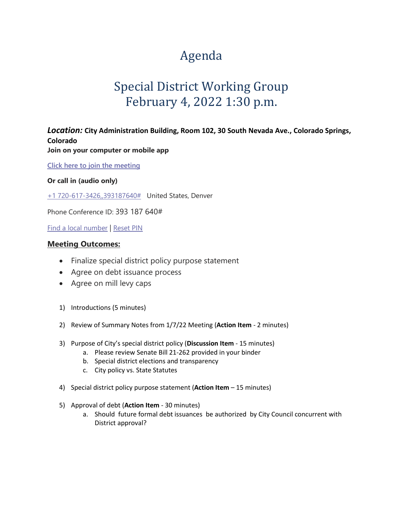# Agenda

## Special District Working Group February 4, 2022 1:30 p.m.

### *Location:* **City Administration Building, Room 102, 30 South Nevada Ave., Colorado Springs, Colorado**

**Join on your computer or mobile app** 

**[Click here to join the meeting](https://teams.microsoft.com/l/meetup-join/19%3ameeting_M2Q2YTViOTEtYWY2Zi00MzEwLWE3NzItZmQxMWFlY2IxOTZl%40thread.v2/0?context=%7b%22Tid%22%3a%2290f74bf0-a593-4c12-9591-fb8ef4ba6ad1%22%2c%22Oid%22%3a%2288e2a0e7-3dec-41fb-b224-9eb439bb65c4%22%7d)**

#### **Or call in (audio only)**

[+1 720-617-3426,,393187640#](tel:+17206173426,,393187640#%20) United States, Denver

Phone Conference ID: 393 187 640#

[Find a local number](https://dialin.teams.microsoft.com/d58d2c37-f693-46f6-b7f3-e0f09f524a51?id=393187640) | [Reset PIN](https://mysettings.lync.com/pstnconferencing) 

#### **Meeting Outcomes:**

- Finalize special district policy purpose statement
- Agree on debt issuance process
- Agree on mill levy caps
- 1) Introductions (5 minutes)
- 2) Review of Summary Notes from 1/7/22 Meeting (**Action Item** 2 minutes)
- 3) Purpose of City's special district policy (**Discussion Item** 15 minutes)
	- a. Please review Senate Bill 21-262 provided in your binder
	- b. Special district elections and transparency
	- c. City policy vs. State Statutes
- 4) Special district policy purpose statement (**Action Item** 15 minutes)
- 5) Approval of debt (**Action Item** 30 minutes)
	- a. Should future formal debt issuances be authorized by City Council concurrent with District approval?